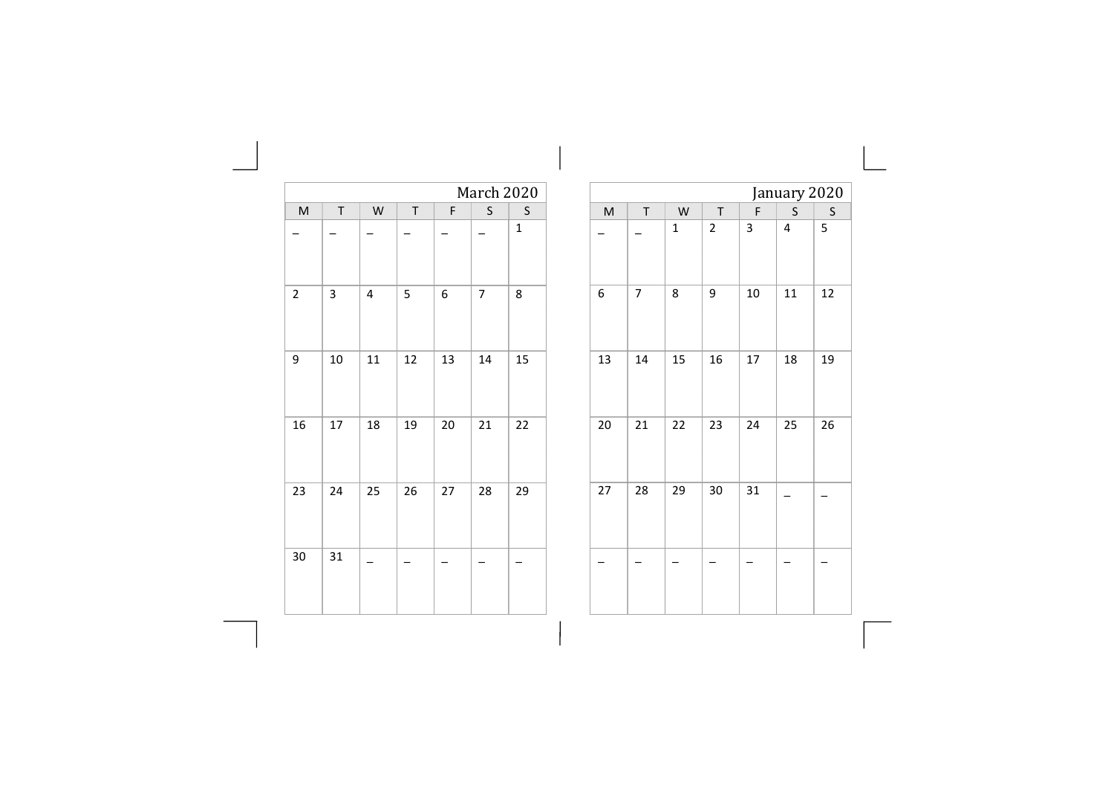|                |         |                |    |    | March 2020     |              |    |                |              |
|----------------|---------|----------------|----|----|----------------|--------------|----|----------------|--------------|
| M              | $\sf T$ | W              | T  | F  | S              | $\sf S$      | M  | T              | W            |
|                |         |                |    |    |                | $\mathbf{1}$ |    |                | $\mathbf{1}$ |
| $\overline{2}$ | 3       | $\overline{4}$ | 5  | 6  | $\overline{7}$ | 8            | 6  | $\overline{7}$ | 8            |
| 9              | 10      | 11             | 12 | 13 | 14             | 15           | 13 | 14             | 15           |
| 16             | 17      | 18             | 19 | 20 | 21             | 22           | 20 | 21             | 22           |
| 23             | 24      | 25             | 26 | 27 | 28             | 29           | 27 | 28             | 29           |
| $30\,$         | 31      |                |    |    |                |              |    |                |              |
|                |         |                |    |    |                |              |    |                |              |

| January 2020<br>$\mathsf{S}$<br>$\mathsf{M}$<br>T<br>W<br>$\top$<br>F<br>$\sf S$<br>5<br>$\overline{\mathbf{c}}$<br>3<br>4<br>$\mathbf 1$<br>7<br>8<br>9<br>10<br>11<br>12<br>6<br>15<br>13<br>14<br>16<br>17<br>18<br>19<br>21<br>22<br>25<br>23<br>24<br>26<br>20<br>29<br>31<br>27<br>28<br>30 |  |  |  |  |
|---------------------------------------------------------------------------------------------------------------------------------------------------------------------------------------------------------------------------------------------------------------------------------------------------|--|--|--|--|
|                                                                                                                                                                                                                                                                                                   |  |  |  |  |
|                                                                                                                                                                                                                                                                                                   |  |  |  |  |
|                                                                                                                                                                                                                                                                                                   |  |  |  |  |
|                                                                                                                                                                                                                                                                                                   |  |  |  |  |
|                                                                                                                                                                                                                                                                                                   |  |  |  |  |
|                                                                                                                                                                                                                                                                                                   |  |  |  |  |
|                                                                                                                                                                                                                                                                                                   |  |  |  |  |
|                                                                                                                                                                                                                                                                                                   |  |  |  |  |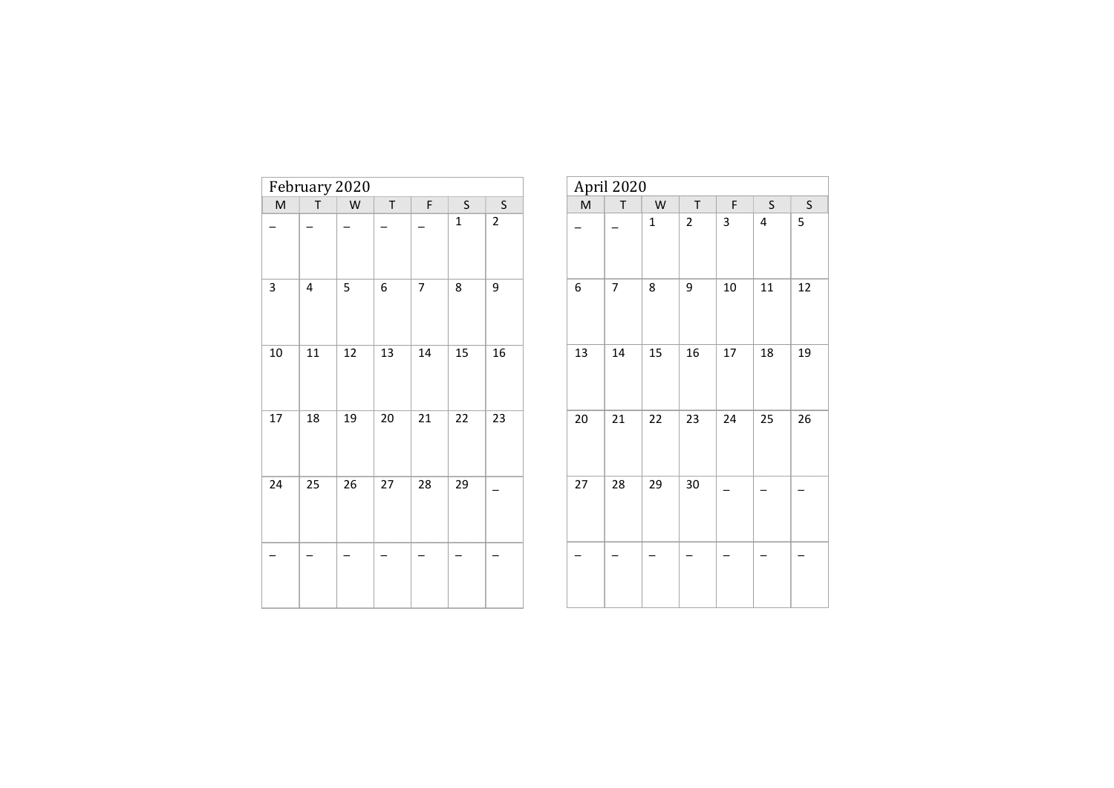| February 2020  |         |    |        |                          |             |                |  |  |  |  |
|----------------|---------|----|--------|--------------------------|-------------|----------------|--|--|--|--|
| $\overline{M}$ | $\sf T$ | W  | T      | F                        | $\sf S$     | S              |  |  |  |  |
|                |         |    |        |                          | $\mathbf 1$ | $\overline{2}$ |  |  |  |  |
| 3              | 4       | 5  | 6      | $\overline{\phantom{a}}$ | 8           | 9              |  |  |  |  |
| $10\,$         | 11      | 12 | 13     | 14                       | 15          | 16             |  |  |  |  |
| 17             | 18      | 19 | $20\,$ | 21                       | 22          | 23             |  |  |  |  |
| 24             | 25      | 26 | 27     | 28                       | 29          |                |  |  |  |  |
|                |         |    |        |                          |             |                |  |  |  |  |

| April 2020                                                                                                 |         |              |                         |        |                         |         |  |  |  |  |  |
|------------------------------------------------------------------------------------------------------------|---------|--------------|-------------------------|--------|-------------------------|---------|--|--|--|--|--|
| $\mathsf{M}% _{T}=\mathsf{M}_{T}\!\left( a,b\right) ,\ \mathsf{M}_{T}=\mathsf{M}_{T}\!\left( a,b\right) ,$ | $\sf T$ | ${\sf W}$    | $\sf T$                 | F      | $\sf S$                 | $\sf S$ |  |  |  |  |  |
|                                                                                                            |         | $\mathbf{1}$ | $\overline{\mathbf{c}}$ | 3      | $\overline{\mathbf{4}}$ | 5       |  |  |  |  |  |
| 6                                                                                                          | 7       | 8            | 9                       | $10\,$ | 11                      | 12      |  |  |  |  |  |
| 13                                                                                                         | 14      | 15           | 16                      | 17     | 18                      | 19      |  |  |  |  |  |
| 20                                                                                                         | 21      | 22           | 23                      | 24     | 25                      | 26      |  |  |  |  |  |
| 27                                                                                                         | 28      | 29           | $30\,$                  |        |                         |         |  |  |  |  |  |
|                                                                                                            |         |              |                         |        |                         |         |  |  |  |  |  |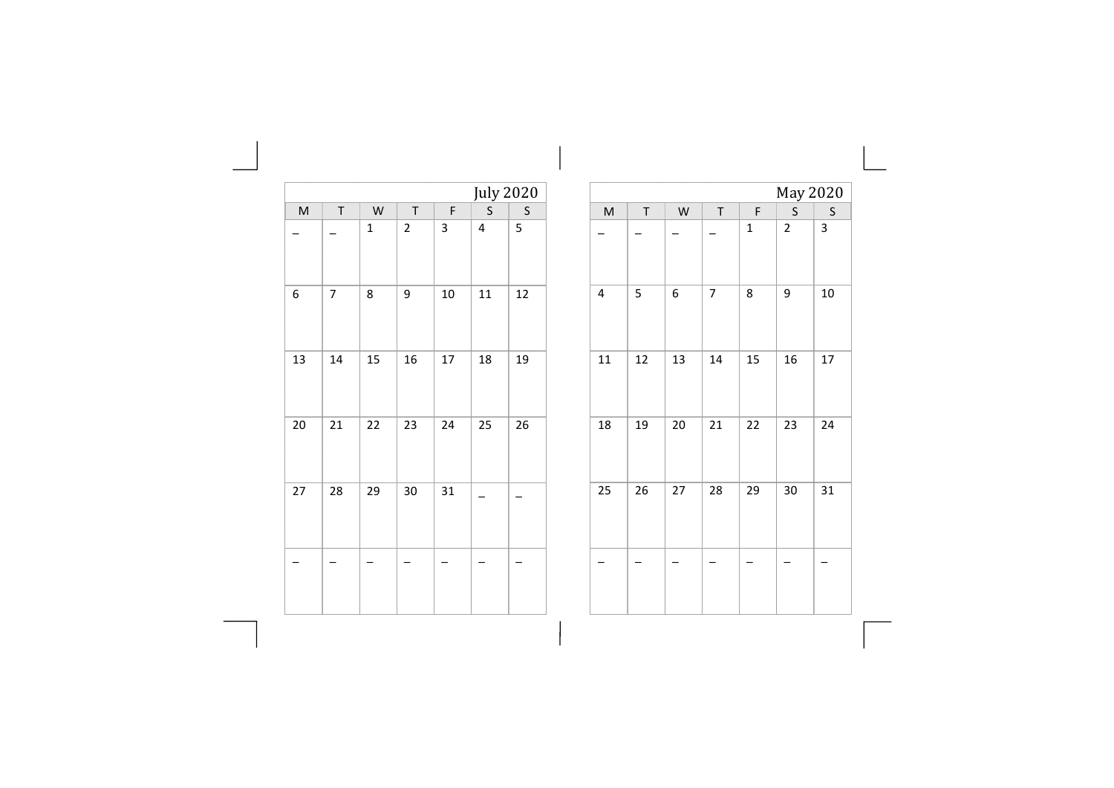|              |                |             |                         |    | <b>July 2020</b> |         |
|--------------|----------------|-------------|-------------------------|----|------------------|---------|
| $\mathsf{M}$ | $\sf T$        | W           | T                       | F  | $\mathsf{S}$     | $\sf S$ |
|              |                | $\mathbf 1$ | $\overline{\mathbf{c}}$ | 3  | 4                | 5       |
| 6            | $\overline{7}$ | 8           | 9                       | 10 | 11               | 12      |
| 13           | 14             | 15          | 16                      | 17 | 18               | 19      |
| 20           | 21             | 22          | 23                      | 24 | 25               | 26      |
| 27           | 28             | 29          | 30                      | 31 |                  |         |
|              |                |             |                         |    |                  |         |

the control of the control of the

|    |    |    |                          |             | May 2020                |    |
|----|----|----|--------------------------|-------------|-------------------------|----|
| M  | T  | W  | $\sf T$                  | F           | $\mathsf{S}$            | S  |
|    |    |    |                          | $\mathbf 1$ | $\overline{\mathbf{c}}$ | 3  |
| 4  | 5  | 6  | $\overline{\mathcal{I}}$ | 8           | 9                       | 10 |
| 11 | 12 | 13 | 14                       | 15          | 16                      | 17 |
| 18 | 19 | 20 | 21                       | 22          | 23                      | 24 |
| 25 | 26 | 27 | 28                       | 29          | 30                      | 31 |
|    |    |    |                          |             |                         |    |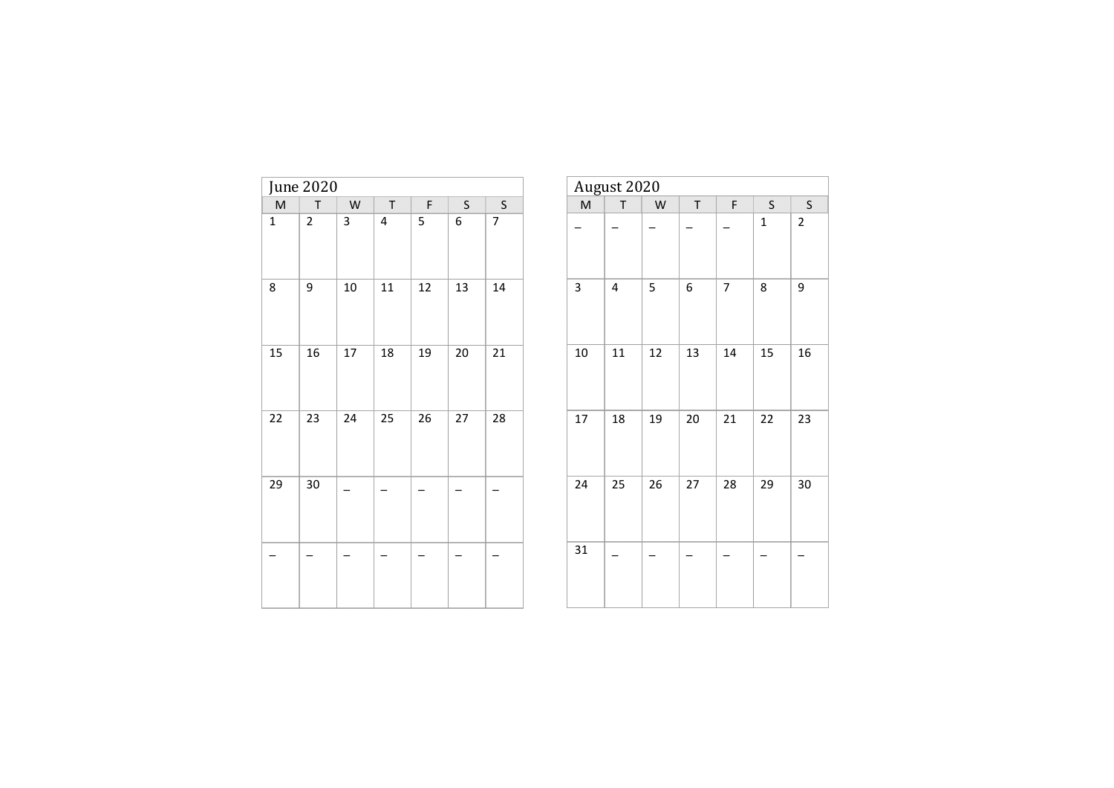| June 2020   |                |           |    |    |         |         |  |  |  |
|-------------|----------------|-----------|----|----|---------|---------|--|--|--|
| M           | $\sf T$        | ${\sf W}$ | T  | F  | $\sf S$ | $\sf S$ |  |  |  |
| $\mathbf 1$ | $\overline{2}$ | 3         | 4  | 5  | 6       | 7       |  |  |  |
| 8           | 9              | 10        | 11 | 12 | 13      | 14      |  |  |  |
| 15          | 16             | 17        | 18 | 19 | 20      | 21      |  |  |  |
| 22          | 23             | 24        | 25 | 26 | 27      | 28      |  |  |  |
| 29          | $30\,$         |           |    |    |         |         |  |  |  |
|             |                |           |    |    |         |         |  |  |  |

| August 2020 |    |    |    |                          |             |                         |  |  |  |  |  |
|-------------|----|----|----|--------------------------|-------------|-------------------------|--|--|--|--|--|
| M           | T  | W  | T  | F                        | S           | S                       |  |  |  |  |  |
|             |    |    |    |                          | $\mathbf 1$ | $\overline{\mathbf{c}}$ |  |  |  |  |  |
| 3           | 4  | 5  | 6  | $\overline{\mathcal{I}}$ | 8           | 9                       |  |  |  |  |  |
| 10          | 11 | 12 | 13 | 14                       | 15          | 16                      |  |  |  |  |  |
| 17          | 18 | 19 | 20 | 21                       | 22          | 23                      |  |  |  |  |  |
| 24          | 25 | 26 | 27 | 28                       | 29          | 30                      |  |  |  |  |  |
| 31          |    |    |    |                          |             |                         |  |  |  |  |  |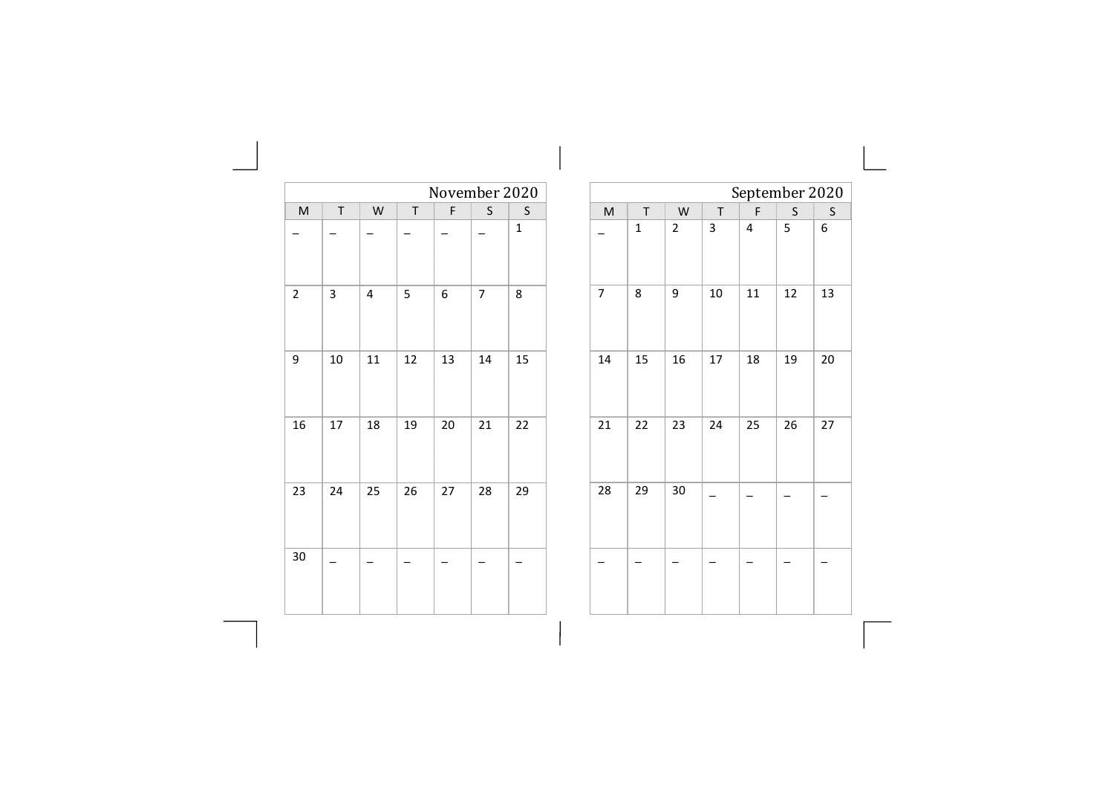|                         |                          |                          |              |                  |                |             | $\mathbf{L}$ |                                                                                                            |             |                  |                |                         |                |                |
|-------------------------|--------------------------|--------------------------|--------------|------------------|----------------|-------------|--------------|------------------------------------------------------------------------------------------------------------|-------------|------------------|----------------|-------------------------|----------------|----------------|
|                         |                          |                          |              | November 2020    |                |             |              |                                                                                                            |             |                  |                |                         | September 20   |                |
| $\sf M$                 | $\top$                   | ${\sf W}$                | $\mathsf{T}$ | F                | $\sf S$        | $\sf S$     |              | $\mathsf{M}% _{T}=\mathsf{M}_{T}\!\left( a,b\right) ,\ \mathsf{M}_{T}=\mathsf{M}_{T}\!\left( a,b\right) ,$ | $\mathsf T$ | W                | $\mathsf{T}$   | $\mathsf{F}$            | $\sf S$        |                |
|                         |                          |                          |              |                  |                | $\mathbf 1$ |              |                                                                                                            | $\mathbf 1$ | $\mathbf 2$      | $\overline{3}$ | $\overline{\mathbf{4}}$ | $\overline{5}$ | 6              |
| $\overline{\mathbf{c}}$ | $\overline{3}$           | $\overline{4}$           | 5            | $\boldsymbol{6}$ | $\overline{7}$ | 8           |              | $\overline{7}$                                                                                             | 8           | $\boldsymbol{9}$ | $10\,$         | $11\,$                  | $12\,$         | $\mathbf{1}$   |
| 9                       | $10\,$                   | $11\,$                   | $12\,$       | 13               | 14             | 15          |              | $14\,$                                                                                                     | 15          | 16               | $17\,$         | 18                      | 19             | $\overline{c}$ |
| 16                      | 17                       | 18                       | 19           | 20               | 21             | 22          |              | 21                                                                                                         | 22          | 23               | 24             | 25                      | 26             | $\overline{c}$ |
| 23                      | 24                       | 25                       | 26           | 27               | 28             | 29          |              | 28                                                                                                         | 29          | $30\,$           |                |                         |                |                |
| 30                      | $\overline{\phantom{0}}$ | $\overline{\phantom{0}}$ |              | -                | -              | -           |              |                                                                                                            |             |                  |                |                         |                |                |
|                         |                          |                          |              |                  |                |             |              |                                                                                                            |             |                  |                |                         |                |                |

September 2020  $\begin{array}{|c|c|c|c|c|}\n\hline\nT & F & S & S \\
\hline\n3 & 4 & 5 & 6\n\end{array}$ 

10 11 12 13

 $17 \mid 18 \mid 19 \mid 20$ 

24 25 26 27